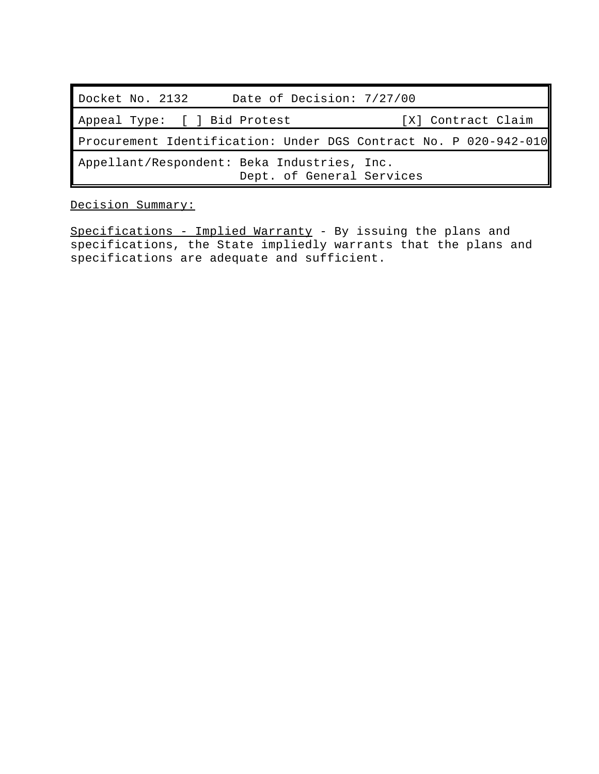| Date of Decision: 7/27/00<br>Docket No. 2132                             |                    |  |  |  |
|--------------------------------------------------------------------------|--------------------|--|--|--|
| Appeal Type: [ ] Bid Protest                                             | [X] Contract Claim |  |  |  |
| Procurement Identification: Under DGS Contract No. P 020-942-010         |                    |  |  |  |
| Appellant/Respondent: Beka Industries, Inc.<br>Dept. of General Services |                    |  |  |  |

Decision Summary:

Specifications - Implied Warranty - By issuing the plans and specifications, the State impliedly warrants that the plans and specifications are adequate and sufficient.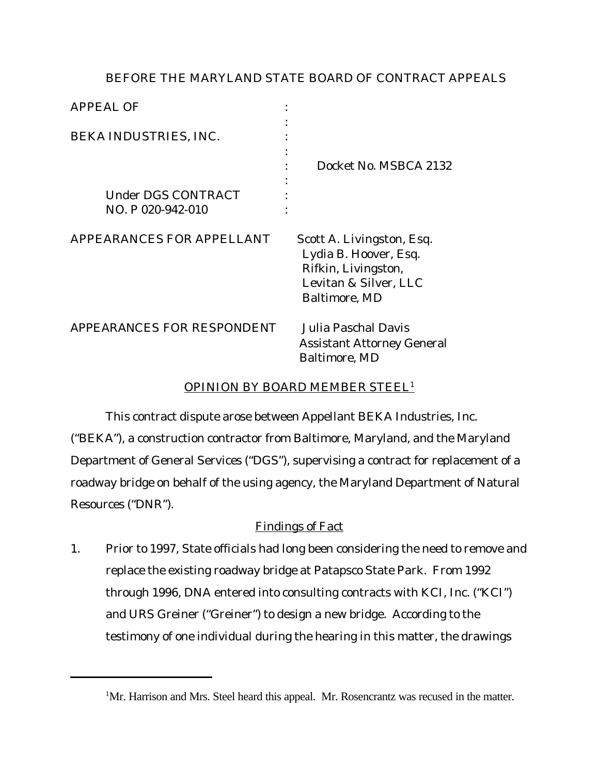## BEFORE THE MARYLAND STATE BOARD OF CONTRACT APPEALS

| <b>APPEAL OF</b>                        |                                                                                                                     |
|-----------------------------------------|---------------------------------------------------------------------------------------------------------------------|
| BEKA INDUSTRIES, INC.                   | Docket No. MSBCA 2132                                                                                               |
| Under DGS CONTRACT<br>NO. P 020-942-010 |                                                                                                                     |
| APPEARANCES FOR APPELLANT               | Scott A. Livingston, Esq.<br>Lydia B. Hoover, Esq.<br>Rifkin, Livingston,<br>Levitan & Silver, LLC<br>Baltimore, MD |
| APPEARANCES FOR RESPONDENT              | Julia Paschal Davis<br><b>Assistant Attorney General</b><br>Baltimore, MD                                           |

# OPINION BY BOARD MEMBER STEEL<sup>1</sup>

This contract dispute arose between Appellant BEKA Industries, Inc. ("BEKA"), a construction contractor from Baltimore, Maryland, and the Maryland Department of General Services ("DGS"), supervising a contract for replacement of a roadway bridge on behalf of the using agency, the Maryland Department of Natural Resources ("DNR").

# Findings of Fact

1. Prior to 1997, State officials had long been considering the need to remove and replace the existing roadway bridge at Patapsco State Park. From 1992 through 1996, DNA entered into consulting contracts with KCI, Inc. ("KCI") and URS Greiner ("Greiner") to design a new bridge. According to the testimony of one individual during the hearing in this matter, the drawings

<sup>&</sup>lt;sup>1</sup>Mr. Harrison and Mrs. Steel heard this appeal. Mr. Rosencrantz was recused in the matter.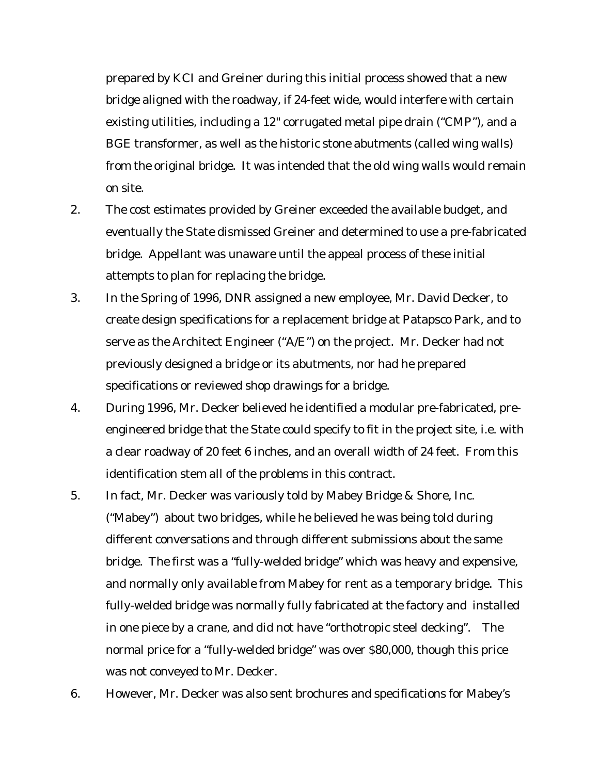prepared by KCI and Greiner during this initial process showed that a new bridge aligned with the roadway, if 24-feet wide, would interfere with certain existing utilities, including a 12" corrugated metal pipe drain ("CMP"), and a BGE transformer, as well as the historic stone abutments (called wing walls) from the original bridge. It was intended that the old wing walls would remain on site.

- 2. The cost estimates provided by Greiner exceeded the available budget, and eventually the State dismissed Greiner and determined to use a pre-fabricated bridge. Appellant was unaware until the appeal process of these initial attempts to plan for replacing the bridge.
- 3. In the Spring of 1996, DNR assigned a new employee, Mr. David Decker, to create design specifications for a replacement bridge at Patapsco Park, and to serve as the Architect Engineer ("A/E") on the project. Mr. Decker had not previously designed a bridge or its abutments, nor had he prepared specifications or reviewed shop drawings for a bridge.
- 4. During 1996, Mr. Decker believed he identified a modular pre-fabricated, preengineered bridge that the State could specify to fit in the project site, i.e. with a clear roadway of 20 feet 6 inches, and an overall width of 24 feet. From this identification stem all of the problems in this contract.
- 5. In fact, Mr. Decker was variously told by Mabey Bridge & Shore, Inc. ("Mabey") about two bridges, while he believed he was being told during different conversations and through different submissions about the same bridge. The first was a "fully-welded bridge" which was heavy and expensive, and normally only available from Mabey for rent as a temporary bridge. This fully-welded bridge was normally fully fabricated at the factory and installed in one piece by a crane, and did not have "orthotropic steel decking". The normal price for a "fully-welded bridge" was over \$80,000, though this price was not conveyed to Mr. Decker.
- 6. However, Mr. Decker was also sent brochures and specifications for Mabey's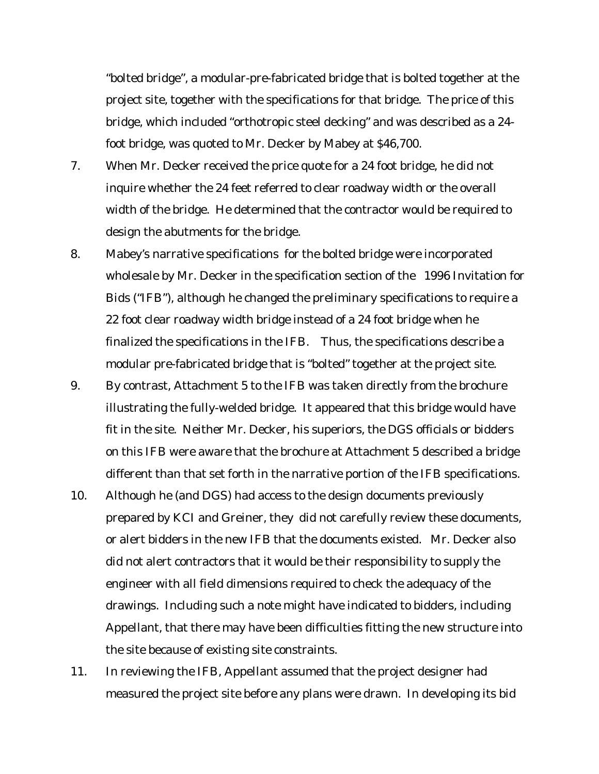"bolted bridge", a modular-pre-fabricated bridge that is bolted together at the project site, together with the specifications for that bridge. The price of this bridge, which included "orthotropic steel decking" and was described as a 24 foot bridge, was quoted to Mr. Decker by Mabey at \$46,700.

- 7. When Mr. Decker received the price quote for a 24 foot bridge, he did not inquire whether the 24 feet referred to clear roadway width or the overall width of the bridge. He determined that the contractor would be required to design the abutments for the bridge.
- 8. Mabey's narrative specifications for the bolted bridge were incorporated wholesale by Mr. Decker in the specification section of the 1996 Invitation for Bids ("IFB"), although he changed the preliminary specifications to require a 22 foot clear roadway width bridge instead of a 24 foot bridge when he finalized the specifications in the IFB. Thus, the specifications describe a modular pre-fabricated bridge that is "bolted" together at the project site.
- 9. By contrast, Attachment 5 to the IFB was taken directly from the brochure illustrating the fully-welded bridge. It appeared that this bridge would have fit in the site. Neither Mr. Decker, his superiors, the DGS officials or bidders on this IFB were aware that the brochure at Attachment 5 described a bridge different than that set forth in the narrative portion of the IFB specifications.
- 10. Although he (and DGS) had access to the design documents previously prepared by KCI and Greiner, they did not carefully review these documents, or alert bidders in the new IFB that the documents existed. Mr. Decker also did not alert contractors that it would be their responsibility to supply the engineer with all field dimensions required to check the adequacy of the drawings. Including such a note might have indicated to bidders, including Appellant, that there may have been difficulties fitting the new structure into the site because of existing site constraints.
- 11. In reviewing the IFB, Appellant assumed that the project designer had measured the project site before any plans were drawn. In developing its bid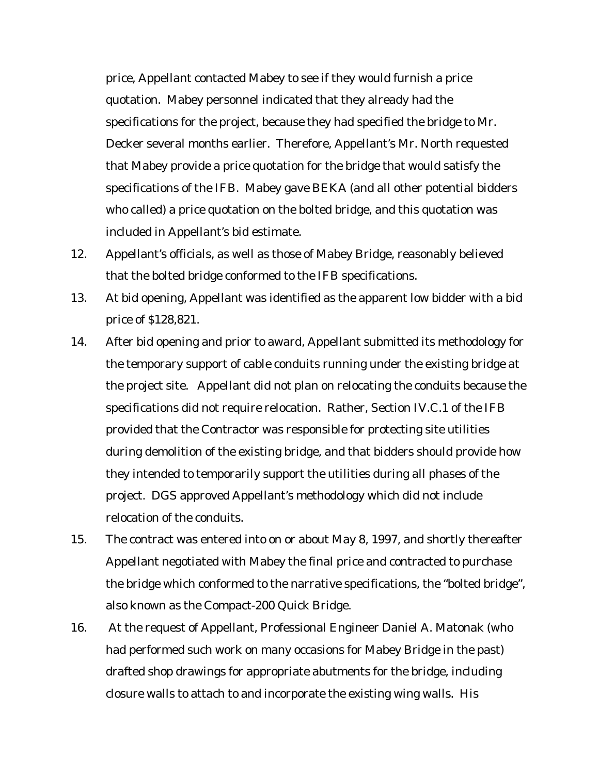price, Appellant contacted Mabey to see if they would furnish a price quotation. Mabey personnel indicated that they already had the specifications for the project, because they had specified the bridge to Mr. Decker several months earlier. Therefore, Appellant's Mr. North requested that Mabey provide a price quotation for the bridge that would satisfy the specifications of the IFB. Mabey gave BEKA (and all other potential bidders who called) a price quotation on the bolted bridge, and this quotation was included in Appellant's bid estimate.

- 12. Appellant's officials, as well as those of Mabey Bridge, reasonably believed that the bolted bridge conformed to the IFB specifications.
- 13. At bid opening, Appellant was identified as the apparent low bidder with a bid price of \$128,821.
- 14. After bid opening and prior to award, Appellant submitted its methodology for the temporary support of cable conduits running under the existing bridge at the project site. Appellant did not plan on relocating the conduits because the specifications did not require relocation. Rather, Section IV.C.1 of the IFB provided that the Contractor was responsible for protecting site utilities during demolition of the existing bridge, and that bidders should provide how they intended to temporarily support the utilities during all phases of the project. DGS approved Appellant's methodology which did not include relocation of the conduits.
- 15. The contract was entered into on or about May 8, 1997, and shortly thereafter Appellant negotiated with Mabey the final price and contracted to purchase the bridge which conformed to the narrative specifications, the "bolted bridge", also known as the Compact-200 Quick Bridge.
- 16. At the request of Appellant, Professional Engineer Daniel A. Matonak (who had performed such work on many occasions for Mabey Bridge in the past) drafted shop drawings for appropriate abutments for the bridge, including closure walls to attach to and incorporate the existing wing walls. His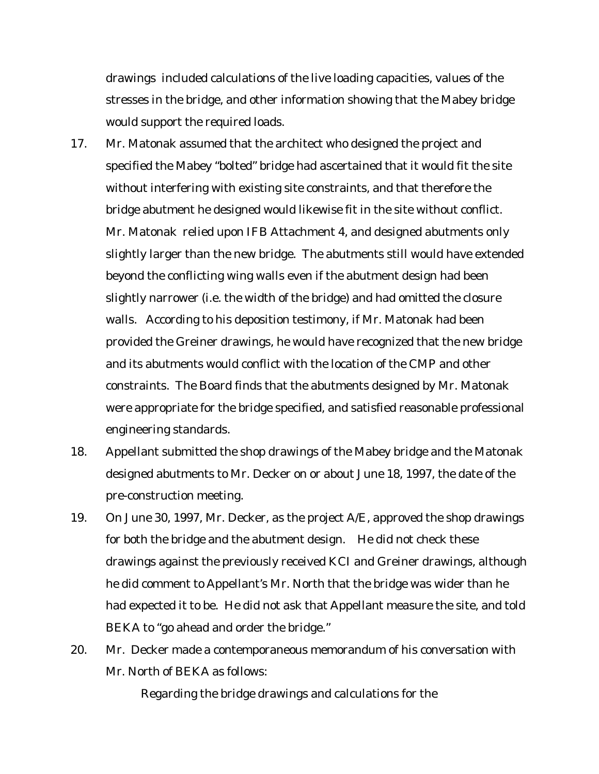drawings included calculations of the live loading capacities, values of the stresses in the bridge, and other information showing that the Mabey bridge would support the required loads.

- 17. Mr. Matonak assumed that the architect who designed the project and specified the Mabey "bolted" bridge had ascertained that it would fit the site without interfering with existing site constraints, and that therefore the bridge abutment he designed would likewise fit in the site without conflict. Mr. Matonak relied upon IFB Attachment 4, and designed abutments only slightly larger than the new bridge. The abutments still would have extended beyond the conflicting wing walls even if the abutment design had been slightly narrower (i.e. the width of the bridge) and had omitted the closure walls. According to his deposition testimony, if Mr. Matonak had been provided the Greiner drawings, he would have recognized that the new bridge and its abutments would conflict with the location of the CMP and other constraints. The Board finds that the abutments designed by Mr. Matonak were appropriate for the bridge specified, and satisfied reasonable professional engineering standards.
- 18. Appellant submitted the shop drawings of the Mabey bridge and the Matonak designed abutments to Mr. Decker on or about June 18, 1997, the date of the pre-construction meeting.
- 19. On June 30, 1997, Mr. Decker, as the project A/E, approved the shop drawings for both the bridge and the abutment design. He did not check these drawings against the previously received KCI and Greiner drawings, although he did comment to Appellant's Mr. North that the bridge was wider than he had expected it to be. He did not ask that Appellant measure the site, and told BEKA to "go ahead and order the bridge."
- 20. Mr. Decker made a contemporaneous memorandum of his conversation with Mr. North of BEKA as follows:

Regarding the bridge drawings and calculations for the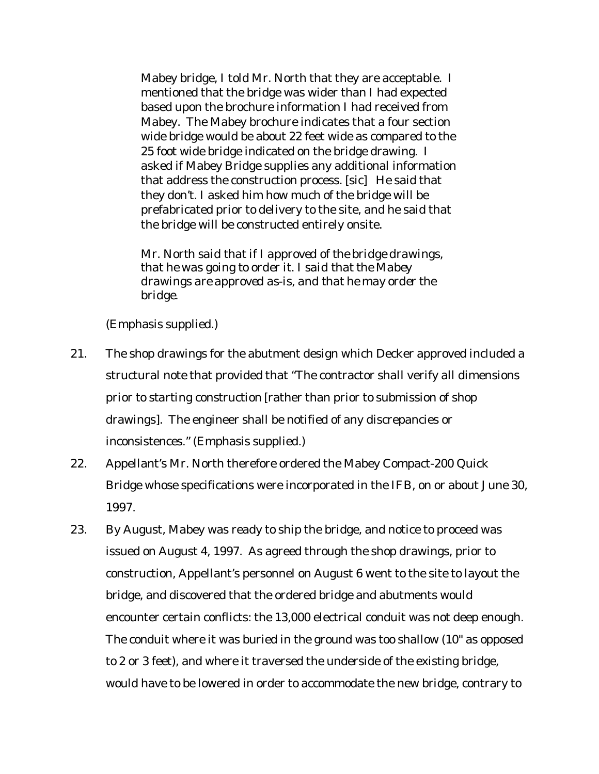Mabey bridge, I told Mr. North that they are acceptable. I mentioned that the bridge was wider than I had expected based upon the brochure information I had received from Mabey. The Mabey brochure indicates that a four section wide bridge would be about 22 feet wide as compared to the 25 foot wide bridge indicated on the bridge drawing. I asked if Mabey Bridge supplies any additional information that address the construction process. [sic] He said that they don't. I asked him how much of the bridge will be prefabricated prior to delivery to the site, and he said that the bridge will be constructed entirely onsite.

*Mr. North said that if I approved of the bridge drawings, that he was going to order it. I said that the Mabey drawings are approved as-is, and that he may order the bridge.*

(Emphasis supplied.)

- 21. The shop drawings for the abutment design which Decker approved included a structural note that provided that "The contractor shall verify all dimensions *prior to starting construction* [rather than prior to submission of shop drawings]. The engineer shall be notified of any discrepancies or inconsistences." (Emphasis supplied.)
- 22. Appellant's Mr. North therefore ordered the Mabey Compact-200 Quick Bridge whose specifications were incorporated in the IFB, on or about June 30, 1997.
- 23. By August, Mabey was ready to ship the bridge, and notice to proceed was issued on August 4, 1997. As agreed through the shop drawings, prior to construction, Appellant's personnel on August 6 went to the site to layout the bridge, and discovered that the ordered bridge and abutments would encounter certain conflicts: the 13,000 electrical conduit was not deep enough. The conduit where it was buried in the ground was too shallow (10" as opposed to 2 or 3 feet), and where it traversed the underside of the existing bridge, would have to be lowered in order to accommodate the new bridge, contrary to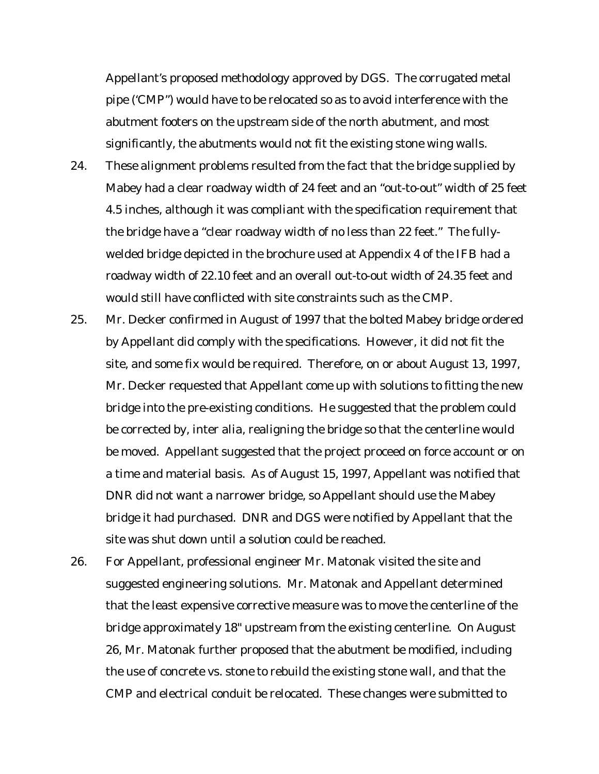Appellant's proposed methodology approved by DGS. The corrugated metal pipe ('CMP") would have to be relocated so as to avoid interference with the abutment footers on the upstream side of the north abutment, and most significantly, the abutments would not fit the existing stone wing walls.

- 24. These alignment problems resulted from the fact that the bridge supplied by Mabey had a clear roadway width of 24 feet and an "out-to-out" width of 25 feet 4.5 inches, although it was compliant with the specification requirement that the bridge have a "clear roadway width of no less than 22 feet." The fullywelded bridge depicted in the brochure used at Appendix 4 of the IFB had a roadway width of 22.10 feet and an overall out-to-out width of 24.35 feet and would still have conflicted with site constraints such as the CMP.
- 25. Mr. Decker confirmed in August of 1997 that the bolted Mabey bridge ordered by Appellant did comply with the specifications. However, it did not fit the site, and some fix would be required. Therefore, on or about August 13, 1997, Mr. Decker requested that Appellant come up with solutions to fitting the new bridge into the pre-existing conditions. He suggested that the problem could be corrected by, inter alia, realigning the bridge so that the centerline would be moved. Appellant suggested that the project proceed on force account or on a time and material basis. As of August 15, 1997, Appellant was notified that DNR did not want a narrower bridge, so Appellant should use the Mabey bridge it had purchased. DNR and DGS were notified by Appellant that the site was shut down until a solution could be reached.
- 26. For Appellant, professional engineer Mr. Matonak visited the site and suggested engineering solutions. Mr. Matonak and Appellant determined that the least expensive corrective measure was to move the centerline of the bridge approximately 18" upstream from the existing centerline. On August 26, Mr. Matonak further proposed that the abutment be modified, including the use of concrete vs. stone to rebuild the existing stone wall, and that the CMP and electrical conduit be relocated. These changes were submitted to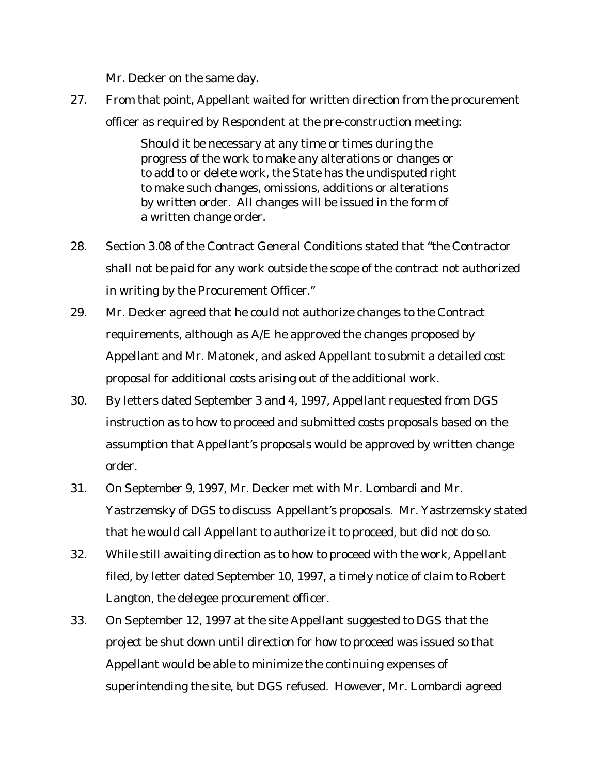Mr. Decker on the same day.

27. From that point, Appellant waited for written direction from the procurement officer as required by Respondent at the pre-construction meeting:

> Should it be necessary at any time or times during the progress of the work to make any alterations or changes or to add to or delete work, the State has the undisputed right to make such changes, omissions, additions or alterations by written order. All changes will be issued in the form of a written change order.

- 28. Section 3.08 of the Contract General Conditions stated that "the Contractor shall not be paid for any work outside the scope of the contract not authorized in writing by the Procurement Officer."
- 29. Mr. Decker agreed that he could not authorize changes to the Contract requirements, although as A/E he approved the changes proposed by Appellant and Mr. Matonek, and asked Appellant to submit a detailed cost proposal for additional costs arising out of the additional work.
- 30. By letters dated September 3 and 4, 1997, Appellant requested from DGS instruction as to how to proceed and submitted costs proposals based on the assumption that Appellant's proposals would be approved by written change order.
- 31. On September 9, 1997, Mr. Decker met with Mr. Lombardi and Mr. Yastrzemsky of DGS to discuss Appellant's proposals. Mr. Yastrzemsky stated that he would call Appellant to authorize it to proceed, but did not do so.
- 32. While still awaiting direction as to how to proceed with the work, Appellant filed, by letter dated September 10, 1997, a timely notice of claim to Robert Langton, the delegee procurement officer.
- 33. On September 12, 1997 at the site Appellant suggested to DGS that the project be shut down until direction for how to proceed was issued so that Appellant would be able to minimize the continuing expenses of superintending the site, but DGS refused. However, Mr. Lombardi agreed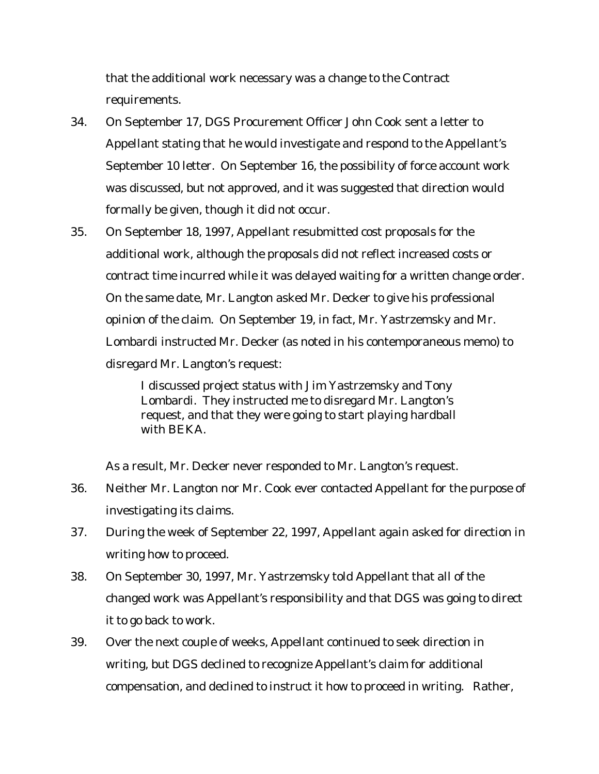that the additional work necessary was a change to the Contract requirements.

- 34. On September 17, DGS Procurement Officer John Cook sent a letter to Appellant stating that he would investigate and respond to the Appellant's September 10 letter. On September 16, the possibility of force account work was discussed, but not approved, and it was suggested that direction would formally be given, though it did not occur.
- 35. On September 18, 1997, Appellant resubmitted cost proposals for the additional work, although the proposals did not reflect increased costs or contract time incurred while it was delayed waiting for a written change order. On the same date, Mr. Langton asked Mr. Decker to give his professional opinion of the claim. On September 19, in fact, Mr. Yastrzemsky and Mr. Lombardi instructed Mr. Decker (as noted in his contemporaneous memo) to disregard Mr. Langton's request:

I discussed project status with Jim Yastrzemsky and Tony Lombardi. They instructed me to disregard Mr. Langton's request, and that they were going to start playing hardball with BEKA.

As a result, Mr. Decker never responded to Mr. Langton's request.

- 36. Neither Mr. Langton nor Mr. Cook ever contacted Appellant for the purpose of investigating its claims.
- 37. During the week of September 22, 1997, Appellant again asked for direction in writing how to proceed.
- 38. On September 30, 1997, Mr. Yastrzemsky told Appellant that all of the changed work was Appellant's responsibility and that DGS was going to direct it to go back to work.
- 39. Over the next couple of weeks, Appellant continued to seek direction in writing, but DGS declined to recognize Appellant's claim for additional compensation, and declined to instruct it how to proceed in writing. Rather,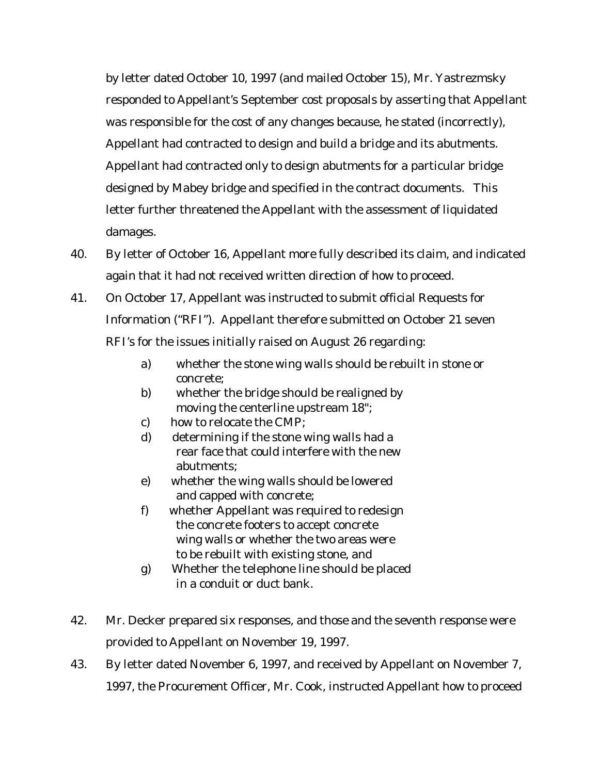by letter dated October 10, 1997 (and mailed October 15), Mr. Yastrezmsky responded to Appellant's September cost proposals by asserting that Appellant was responsible for the cost of any changes because, he stated (incorrectly), Appellant had contracted to design and build a bridge and its abutments. Appellant had contracted only to design abutments for a particular bridge designed by Mabey bridge and specified in the contract documents. This letter further threatened the Appellant with the assessment of liquidated damages.

- 40. By letter of October 16, Appellant more fully described its claim, and indicated again that it had not received written direction of how to proceed.
- 41. On October 17, Appellant was instructed to submit official Requests for Information ("RFI"). Appellant therefore submitted on October 21 seven RFI's for the issues initially raised on August 26 regarding:
	- a) whether the stone wing walls should be rebuilt in stone or concrete;
	- b) whether the bridge should be realigned by moving the centerline upstream 18";
	- c) how to relocate the CMP;
	- d) determining if the stone wing walls had a rear face that could interfere with the new abutments;
	- e) whether the wing walls should be lowered and capped with concrete;
	- f) whether Appellant was required to redesign the concrete footers to accept concrete wing walls or whether the two areas were to be rebuilt with existing stone, and
	- g) Whether the telephone line should be placed in a conduit or duct bank.
- 42. Mr. Decker prepared six responses, and those and the seventh response were provided to Appellant on November 19, 1997.
- 43. By letter dated November 6, 1997, and received by Appellant on November 7, 1997, the Procurement Officer, Mr. Cook, instructed Appellant how to proceed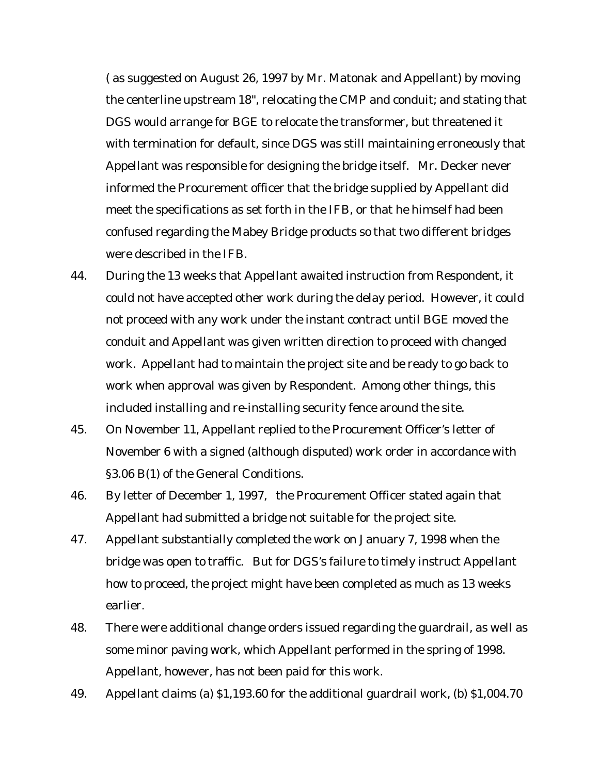( as suggested on August 26, 1997 by Mr. Matonak and Appellant) by moving the centerline upstream 18", relocating the CMP and conduit; and stating that DGS would arrange for BGE to relocate the transformer, but threatened it with termination for default, since DGS was still maintaining erroneously that Appellant was responsible for designing the bridge itself. Mr. Decker never informed the Procurement officer that the bridge supplied by Appellant did meet the specifications as set forth in the IFB, or that he himself had been confused regarding the Mabey Bridge products so that two different bridges were described in the IFB.

- 44. During the 13 weeks that Appellant awaited instruction from Respondent, it could not have accepted other work during the delay period. However, it could not proceed with any work under the instant contract until BGE moved the conduit and Appellant was given written direction to proceed with changed work. Appellant had to maintain the project site and be ready to go back to work when approval was given by Respondent. Among other things, this included installing and re-installing security fence around the site.
- 45. On November 11, Appellant replied to the Procurement Officer's letter of November 6 with a signed (although disputed) work order in accordance with §3.06 B(1) of the General Conditions.
- 46. By letter of December 1, 1997, the Procurement Officer stated again that Appellant had submitted a bridge not suitable for the project site.
- 47. Appellant substantially completed the work on January 7, 1998 when the bridge was open to traffic. But for DGS's failure to timely instruct Appellant how to proceed, the project might have been completed as much as 13 weeks earlier.
- 48. There were additional change orders issued regarding the guardrail, as well as some minor paving work, which Appellant performed in the spring of 1998. Appellant, however, has not been paid for this work.
- 49. Appellant claims (a) \$1,193.60 for the additional guardrail work, (b) \$1,004.70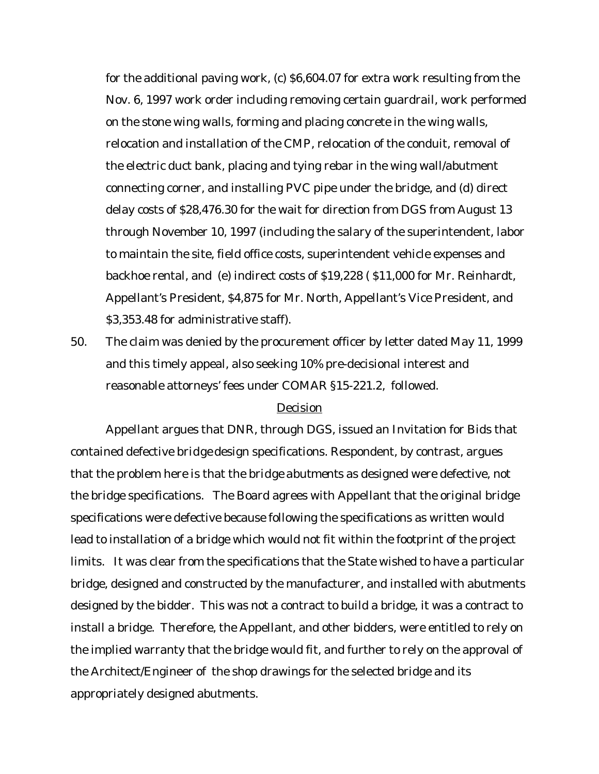for the additional paving work, (c) \$6,604.07 for extra work resulting from the Nov. 6, 1997 work order including removing certain guardrail, work performed on the stone wing walls, forming and placing concrete in the wing walls, relocation and installation of the CMP, relocation of the conduit, removal of the electric duct bank, placing and tying rebar in the wing wall/abutment connecting corner, and installing PVC pipe under the bridge, and (d) direct delay costs of \$28,476.30 for the wait for direction from DGS from August 13 through November 10, 1997 (including the salary of the superintendent, labor to maintain the site, field office costs, superintendent vehicle expenses and backhoe rental, and (e) indirect costs of \$19,228 ( \$11,000 for Mr. Reinhardt, Appellant's President, \$4,875 for Mr. North, Appellant's Vice President, and \$3,353.48 for administrative staff).

50. The claim was denied by the procurement officer by letter dated May 11, 1999 and this timely appeal, also seeking 10% pre-decisional interest and reasonable attorneys' fees under COMAR §15-221.2, followed.

### Decision

Appellant argues that DNR, through DGS, issued an Invitation for Bids that contained defective *bridge* design specifications. Respondent, by contrast, argues that the problem here is that the *bridge abutments* as designed were defective, not the bridge specifications. The Board agrees with Appellant that the original bridge specifications were defective because following the specifications as written would lead to installation of a bridge which would not fit within the footprint of the project limits. It was clear from the specifications that the State wished to have a particular bridge, designed and constructed by the manufacturer, and installed with abutments designed by the bidder. This was not a contract to build a bridge, it was a contract to install a bridge. Therefore, the Appellant, and other bidders, were entitled to rely on the implied warranty that the bridge would fit, and further to rely on the approval of the Architect/Engineer of the shop drawings for the selected bridge and its appropriately designed abutments.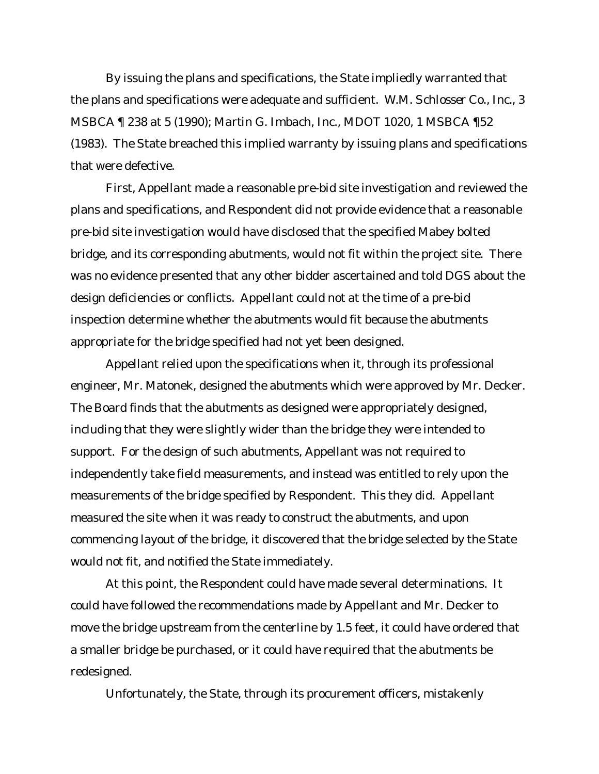By issuing the plans and specifications, the State impliedly warranted that the plans and specifications were adequate and sufficient. *W.M. Schlosser Co.*, Inc., 3 MSBCA ¶ 238 at 5 (1990); *Martin G. Imbach, Inc.*, MDOT 1020, 1 MSBCA ¶52 (1983). The State breached this implied warranty by issuing plans and specifications that were defective.

First, Appellant made a reasonable pre-bid site investigation and reviewed the plans and specifications, and Respondent did not provide evidence that a reasonable pre-bid site investigation would have disclosed that the specified Mabey bolted bridge, and its corresponding abutments, would not fit within the project site. There was no evidence presented that any other bidder ascertained and told DGS about the design deficiencies or conflicts. Appellant could not at the time of a pre-bid inspection determine whether the abutments would fit because the abutments appropriate for the bridge specified had not yet been designed.

Appellant relied upon the specifications when it, through its professional engineer, Mr. Matonek, designed the abutments which were approved by Mr. Decker. The Board finds that the abutments as designed were appropriately designed, including that they were slightly wider than the bridge they were intended to support. For the design of such abutments, Appellant was not required to independently take field measurements, and instead was entitled to rely upon the measurements of the bridge specified by Respondent. This they did. Appellant measured the site when it was ready to construct the abutments, and upon commencing layout of the bridge, it discovered that the bridge selected by the State would not fit, and notified the State immediately.

At this point, the Respondent could have made several determinations. It could have followed the recommendations made by Appellant and Mr. Decker to move the bridge upstream from the centerline by 1.5 feet, it could have ordered that a smaller bridge be purchased, or it could have required that the abutments be redesigned.

Unfortunately, the State, through its procurement officers, mistakenly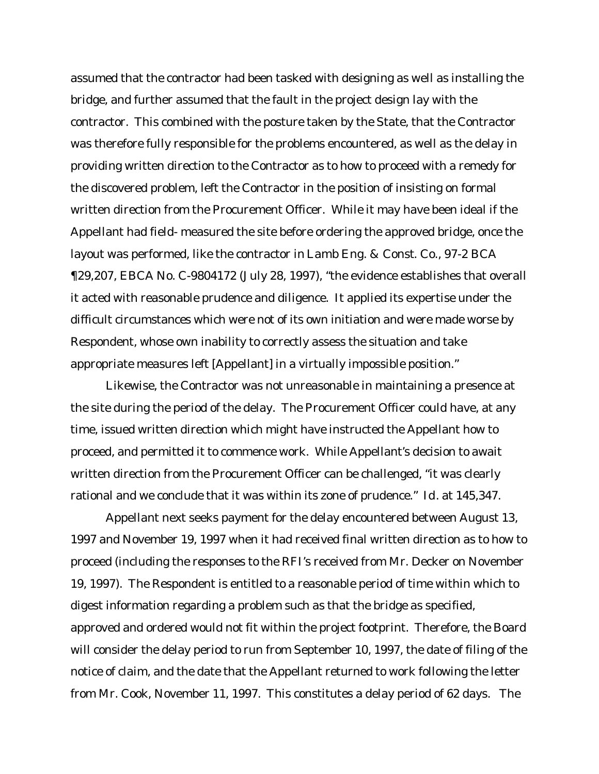assumed that the contractor had been tasked with designing as well as installing the bridge, and further assumed that the fault in the project design lay with the contractor. This combined with the posture taken by the State, that the Contractor was therefore fully responsible for the problems encountered, as well as the delay in providing written direction to the Contractor as to how to proceed with a remedy for the discovered problem, left the Contractor in the position of insisting on formal written direction from the Procurement Officer. While it may have been ideal if the Appellant had field- measured the site before ordering the approved bridge, once the layout was performed, like the contractor in *Lamb Eng. & Const. Co.*, 97-2 BCA ¶29,207, EBCA No. C-9804172 (July 28, 1997), "the evidence establishes that overall it acted with reasonable prudence and diligence. It applied its expertise under the difficult circumstances which were not of its own initiation and were made worse by Respondent, whose own inability to correctly assess the situation and take appropriate measures left [Appellant] in a virtually impossible position."

Likewise, the Contractor was not unreasonable in maintaining a presence at the site during the period of the delay. The Procurement Officer could have, at any time, issued written direction which might have instructed the Appellant how to proceed, and permitted it to commence work. While Appellant's decision to await written direction from the Procurement Officer can be challenged, "it was clearly rational and we conclude that it was within its zone of prudence." *Id*. at 145,347.

Appellant next seeks payment for the delay encountered between August 13, 1997 and November 19, 1997 when it had received final written direction as to how to proceed (including the responses to the RFI's received from Mr. Decker on November 19, 1997). The Respondent is entitled to a reasonable period of time within which to digest information regarding a problem such as that the bridge as specified, approved and ordered would not fit within the project footprint. Therefore, the Board will consider the delay period to run from September 10, 1997, the date of filing of the notice of claim, and the date that the Appellant returned to work following the letter from Mr. Cook, November 11, 1997. This constitutes a delay period of 62 days. The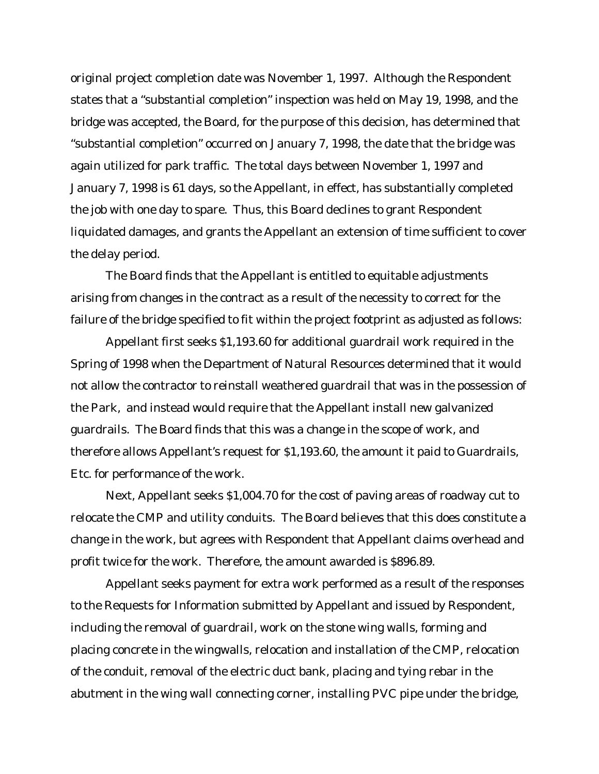original project completion date was November 1, 1997. Although the Respondent states that a "substantial completion" inspection was held on May 19, 1998, and the bridge was accepted, the Board, for the purpose of this decision, has determined that "substantial completion" occurred on January 7, 1998, the date that the bridge was again utilized for park traffic. The total days between November 1, 1997 and January 7, 1998 is 61 days, so the Appellant, in effect, has substantially completed the job with one day to spare. Thus, this Board declines to grant Respondent liquidated damages, and grants the Appellant an extension of time sufficient to cover the delay period.

The Board finds that the Appellant is entitled to equitable adjustments arising from changes in the contract as a result of the necessity to correct for the failure of the bridge specified to fit within the project footprint as adjusted as follows:

Appellant first seeks \$1,193.60 for additional guardrail work required in the Spring of 1998 when the Department of Natural Resources determined that it would not allow the contractor to reinstall weathered guardrail that was in the possession of the Park, and instead would require that the Appellant install new galvanized guardrails. The Board finds that this was a change in the scope of work, and therefore allows Appellant's request for \$1,193.60, the amount it paid to Guardrails, Etc. for performance of the work.

Next, Appellant seeks \$1,004.70 for the cost of paving areas of roadway cut to relocate the CMP and utility conduits. The Board believes that this does constitute a change in the work, but agrees with Respondent that Appellant claims overhead and profit twice for the work. Therefore, the amount awarded is \$896.89.

Appellant seeks payment for extra work performed as a result of the responses to the Requests for Information submitted by Appellant and issued by Respondent, including the removal of guardrail, work on the stone wing walls, forming and placing concrete in the wingwalls, relocation and installation of the CMP, relocation of the conduit, removal of the electric duct bank, placing and tying rebar in the abutment in the wing wall connecting corner, installing PVC pipe under the bridge,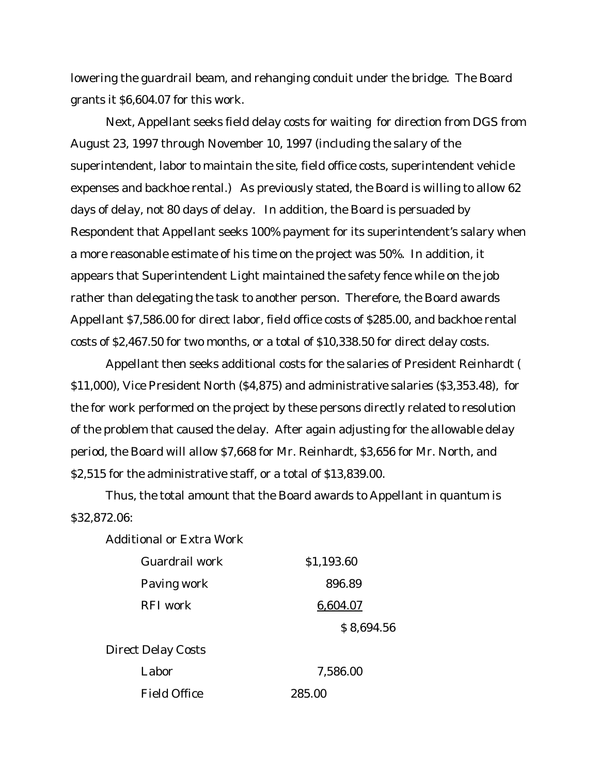lowering the guardrail beam, and rehanging conduit under the bridge. The Board grants it \$6,604.07 for this work.

Next, Appellant seeks field delay costs for waiting for direction from DGS from August 23, 1997 through November 10, 1997 (including the salary of the superintendent, labor to maintain the site, field office costs, superintendent vehicle expenses and backhoe rental.) As previously stated, the Board is willing to allow 62 days of delay, not 80 days of delay. In addition, the Board is persuaded by Respondent that Appellant seeks 100% payment for its superintendent's salary when a more reasonable estimate of his time on the project was 50%. In addition, it appears that Superintendent Light maintained the safety fence while on the job rather than delegating the task to another person. Therefore, the Board awards Appellant \$7,586.00 for direct labor, field office costs of \$285.00, and backhoe rental costs of \$2,467.50 for two months, or a total of \$10,338.50 for direct delay costs.

Appellant then seeks additional costs for the salaries of President Reinhardt ( \$11,000), Vice President North (\$4,875) and administrative salaries (\$3,353.48), for the for work performed on the project by these persons directly related to resolution of the problem that caused the delay. After again adjusting for the allowable delay period, the Board will allow \$7,668 for Mr. Reinhardt, \$3,656 for Mr. North, and \$2,515 for the administrative staff, or a total of \$13,839.00.

Thus, the total amount that the Board awards to Appellant in quantum is \$32,872.06:

Additional or Extra Work

| Guardrail work      | \$1,193.60 |  |  |  |
|---------------------|------------|--|--|--|
| Paving work         | 896.89     |  |  |  |
| RFI work            | 6,604.07   |  |  |  |
|                     | \$8,694.56 |  |  |  |
| Direct Delay Costs  |            |  |  |  |
| Labor               | 7,586.00   |  |  |  |
| <b>Field Office</b> | 285.00     |  |  |  |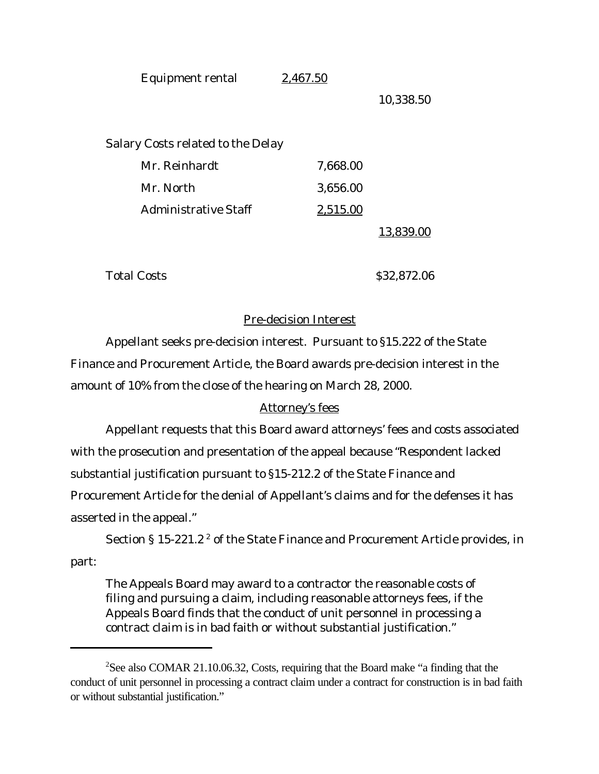Equipment rental 2,467.50

10,338.50

Salary Costs related to the Delay

|                      |          | 13.839.00 |
|----------------------|----------|-----------|
| Administrative Staff | 2,515.00 |           |
| Mr. North            | 3,656.00 |           |
| Mr. Reinhardt        | 7,668.00 |           |

Total Costs  $\qquad \qquad$  \$32,872.06

## Pre-decision Interest

Appellant seeks pre-decision interest. Pursuant to §15.222 of the State Finance and Procurement Article, the Board awards pre-decision interest in the amount of 10% from the close of the hearing on March 28, 2000.

# Attorney's fees

Appellant requests that this Board award attorneys' fees and costs associated with the prosecution and presentation of the appeal because "Respondent lacked substantial justification pursuant to §15-212.2 of the State Finance and Procurement Article for the denial of Appellant's claims and for the defenses it has asserted in the appeal."

Section § 15-221.2  $^2$  of the State Finance and Procurement Article provides, in part:

The Appeals Board may award to a contractor the reasonable costs of filing and pursuing a claim, including reasonable attorneys fees, if the Appeals Board finds that the conduct of unit personnel in processing a contract claim is in bad faith or without substantial justification."

<sup>2</sup>See also COMAR 21.10.06.32, Costs, requiring that the Board make "a finding that the conduct of unit personnel in processing a contract claim under a contract for construction is in bad faith or without substantial justification."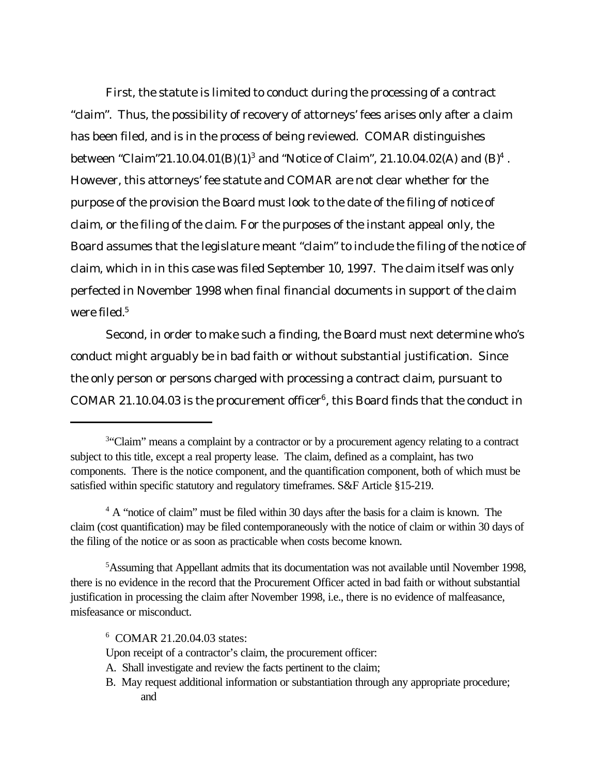First, the statute is limited to conduct during the processing of a contract "claim". Thus, the possibility of recovery of attorneys' fees arises only after a claim has been filed, and is in the process of being reviewed. COMAR distinguishes between "Claim"21.10.04.01(B)(1)<sup>3</sup> and "Notice of Claim", 21.10.04.02(A) and (B)<sup>4</sup>. However, this attorneys' fee statute and COMAR are not clear whether for the purpose of the provision the Board must look to the date of the filing of *notice of claim*, or the filing of the *claim*. For the purposes of the instant appeal only, the Board assumes that the legislature meant "claim" to include the filing of the notice of claim, which in in this case was filed September 10, 1997. The claim itself was only perfected in November 1998 when final financial documents in support of the claim were filed.<sup>5</sup>

Second, in order to make such a finding, the Board must next determine *who's* conduct might arguably be in bad faith or without substantial justification. Since the only person or persons charged with processing a contract claim, pursuant to COMAR 21.10.04.03 is the procurement officer $6$ , this Board finds that the conduct in

- A. Shall investigate and review the facts pertinent to the claim;
- B. May request additional information or substantiation through any appropriate procedure; and

<sup>&</sup>lt;sup>3</sup>"Claim" means a complaint by a contractor or by a procurement agency relating to a contract subject to this title, except a real property lease. The claim, defined as a complaint, has two components. There is the notice component, and the quantification component, both of which must be satisfied within specific statutory and regulatory timeframes. S&F Article §15-219.

<sup>&</sup>lt;sup>4</sup> A "notice of claim" must be filed within 30 days after the basis for a claim is known. The claim (cost quantification) may be filed contemporaneously with the notice of claim or within 30 days of the filing of the notice or as soon as practicable when costs become known.

<sup>5</sup>Assuming that Appellant admits that its documentation was not available until November 1998, there is no evidence in the record that the Procurement Officer acted in bad faith or without substantial justification in processing the claim after November 1998, i.e., there is no evidence of malfeasance, misfeasance or misconduct.

<sup>6</sup> COMAR 21.20.04.03 states:

Upon receipt of a contractor's claim, the procurement officer: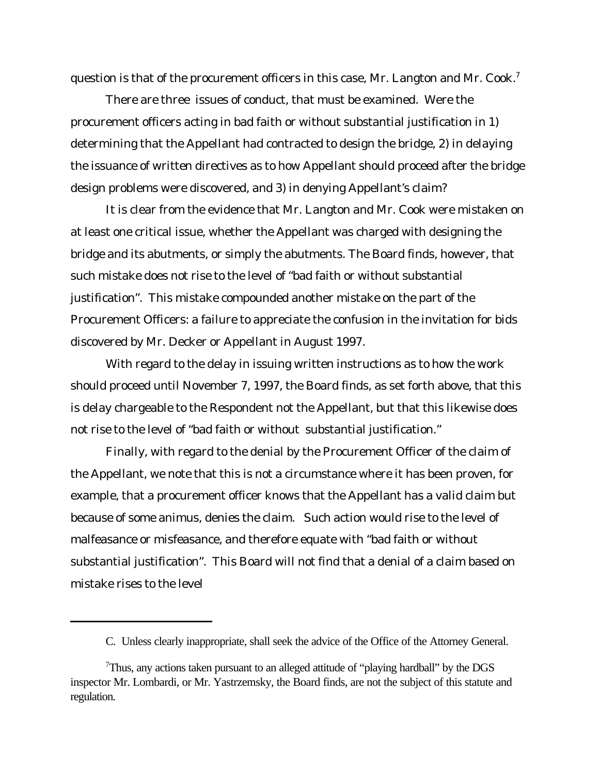question is that of the procurement officers in this case, Mr. Langton and Mr. Cook.<sup>7</sup>

There are three issues of conduct, that must be examined. Were the procurement officers acting in bad faith or without substantial justification in 1) determining that the Appellant had contracted to design the bridge, 2) in delaying the issuance of written directives as to how Appellant should proceed after the bridge design problems were discovered, and 3) in denying Appellant's claim?

It is clear from the evidence that Mr. Langton and Mr. Cook were mistaken on at least one critical issue, whether the Appellant was charged with designing the bridge and its abutments, or simply the abutments. The Board finds, however, that such mistake does not rise to the level of "bad faith or without substantial justification". This mistake compounded another mistake on the part of the Procurement Officers: a failure to appreciate the confusion in the invitation for bids discovered by Mr. Decker or Appellant in August 1997.

With regard to the delay in issuing written instructions as to how the work should proceed until November 7, 1997, the Board finds, as set forth above, that this is delay chargeable to the Respondent not the Appellant, but that this likewise does not rise to the level of "bad faith or without substantial justification."

Finally, with regard to the denial by the Procurement Officer of the claim of the Appellant, we note that this is not a circumstance where it has been proven, for example, that a procurement officer knows that the Appellant has a valid claim but because of some animus, denies the claim. Such action would rise to the level of malfeasance or misfeasance, and therefore equate with "bad faith or without substantial justification". This Board will not find that a denial of a claim based on mistake rises to the level

C. Unless clearly inappropriate, shall seek the advice of the Office of the Attorney General.

<sup>7</sup>Thus, any actions taken pursuant to an alleged attitude of "playing hardball" by the DGS inspector Mr. Lombardi, or Mr. Yastrzemsky, the Board finds, are not the subject of this statute and regulation.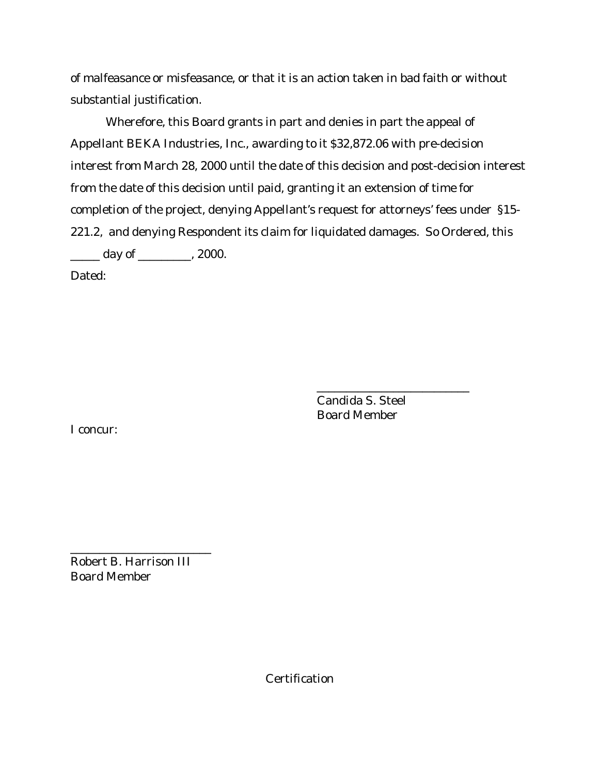of malfeasance or misfeasance, or that it is an action taken in bad faith or without substantial justification.

Wherefore, this Board grants in part and denies in part the appeal of Appellant BEKA Industries, Inc., awarding to it \$32,872.06 with pre-decision interest from March 28, 2000 until the date of this decision and post-decision interest from the date of this decision until paid, granting it an extension of time for completion of the project, denying Appellant's request for attorneys' fees under §15- 221.2, and denying Respondent its claim for liquidated damages. So Ordered, this  $\frac{1}{\sqrt{2}}$  day of  $\frac{1}{\sqrt{2}}$ , 2000.

Dated:

Candida S. Steel Board Member

\_\_\_\_\_\_\_\_\_\_\_\_\_\_\_\_\_\_\_\_\_\_\_\_\_\_

I concur:

Robert B. Harrison III Board Member

\_\_\_\_\_\_\_\_\_\_\_\_\_\_\_\_\_\_\_\_\_\_\_\_

**Certification**